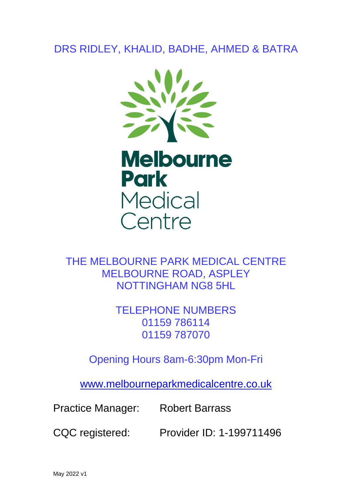# DRS RIDLEY, KHALID, BADHE, AHMED & BATRA





THE MELBOURNE PARK MEDICAL CENTRE MELBOURNE ROAD, ASPLEY NOTTINGHAM NG8 5HL

> TELEPHONE NUMBERS 01159 786114 01159 787070

Opening Hours 8am-6:30pm Mon-Fri

[www.melbourneparkmedicalcentre.co.uk](http://www.melbourneparkmedicalcentre.co.uk/)

Practice Manager: Robert Barrass

CQC registered: Provider ID: 1-199711496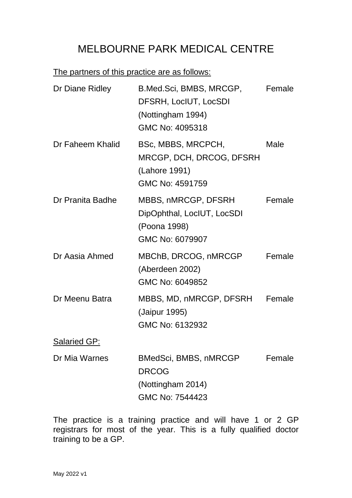# MELBOURNE PARK MEDICAL CENTRE

# The partners of this practice are as follows:

| Dr Diane Ridley     | B.Med.Sci, BMBS, MRCGP,<br>DFSRH, LocIUT, LocSDI<br>(Nottingham 1994)<br>GMC No: 4095318 | Female |
|---------------------|------------------------------------------------------------------------------------------|--------|
| Dr Faheem Khalid    | BSc, MBBS, MRCPCH,<br>MRCGP, DCH, DRCOG, DFSRH<br>(Lahore 1991)<br>GMC No: 4591759       | Male   |
| Dr Pranita Badhe    | MBBS, nMRCGP, DFSRH<br>DipOphthal, LocIUT, LocSDI<br>(Poona 1998)<br>GMC No: 6079907     | Female |
| Dr Aasia Ahmed      | MBChB, DRCOG, nMRCGP<br>(Aberdeen 2002)<br>GMC No: 6049852                               | Female |
| Dr Meenu Batra      | MBBS, MD, nMRCGP, DFSRH<br>(Jaipur 1995)<br>GMC No: 6132932                              | Female |
| <b>Salaried GP:</b> |                                                                                          |        |
| Dr Mia Warnes       | <b>BMedSci, BMBS, nMRCGP</b>                                                             | Female |

DRCOG

(Nottingham 2014)

GMC No: 7544423

The practice is a training practice and will have 1 or 2 GP registrars for most of the year. This is a fully qualified doctor training to be a GP.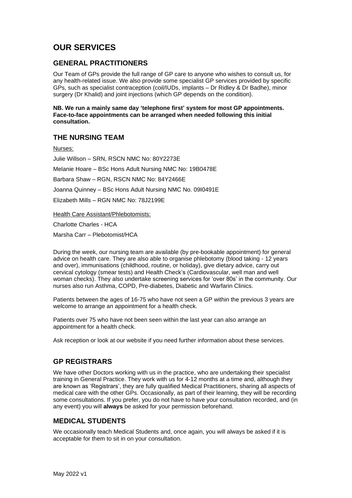# **OUR SERVICES**

#### **GENERAL PRACTITIONERS**

Our Team of GPs provide the full range of GP care to anyone who wishes to consult us, for any health-related issue. We also provide some specialist GP services provided by specific GPs, such as specialist contraception (coil/IUDs, implants – Dr Ridley & Dr Badhe), minor surgery (Dr Khalid) and joint injections (which GP depends on the condition).

**NB. We run a mainly same day 'telephone first' system for most GP appointments. Face-to-face appointments can be arranged when needed following this initial consultation.**

## **THE NURSING TEAM**

Nurses:

Julie Willson – SRN, RSCN NMC No: 80Y2273E Melanie Hoare – BSc Hons Adult Nursing NMC No: 19B0478E Barbara Shaw – RGN, RSCN NMC No: 84Y2466E Joanna Quinney – BSc Hons Adult Nursing NMC No. 09I0491E Elizabeth Mills – RGN NMC No: 78J2199E

Health Care Assistant/Phlebotomists:

Charlotte Charles - HCA

Marsha Carr – Plebotomist/HCA

During the week, our nursing team are available (by pre-bookable appointment) for general advice on health care. They are also able to organise phlebotomy (blood taking - 12 years and over), immunisations (childhood, routine, or holiday), give dietary advice, carry out cervical cytology (smear tests) and Health Check's (Cardiovascular, well man and well woman checks). They also undertake screening services for 'over 80s' in the community. Our nurses also run Asthma, COPD, Pre-diabetes, Diabetic and Warfarin Clinics.

Patients between the ages of 16-75 who have not seen a GP within the previous 3 years are welcome to arrange an appointment for a health check.

Patients over 75 who have not been seen within the last year can also arrange an appointment for a health check.

Ask reception or look at our website if you need further information about these services.

# **GP REGISTRARS**

We have other Doctors working with us in the practice, who are undertaking their specialist training in General Practice. They work with us for 4-12 months at a time and, although they are known as 'Registrars', they are fully qualified Medical Practitioners, sharing all aspects of medical care with the other GPs. Occasionally, as part of their learning, they will be recording some consultations. If you prefer, you do not have to have your consultation recorded, and (in any event) you will **always** be asked for your permission beforehand.

## **MEDICAL STUDENTS**

We occasionally teach Medical Students and, once again, you will always be asked if it is acceptable for them to sit in on your consultation.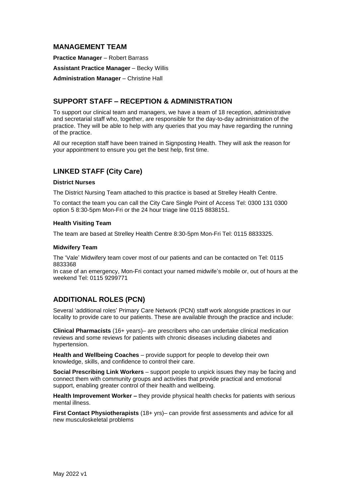## **MANAGEMENT TEAM**

**Practice Manager** – Robert Barrass

**Assistant Practice Manager** – Becky Willis

**Administration Manager** – Christine Hall

## **SUPPORT STAFF – RECEPTION & ADMINISTRATION**

To support our clinical team and managers, we have a team of 18 reception, administrative and secretarial staff who, together, are responsible for the day-to-day administration of the practice. They will be able to help with any queries that you may have regarding the running of the practice.

All our reception staff have been trained in Signposting Health. They will ask the reason for your appointment to ensure you get the best help, first time.

# **LINKED STAFF (City Care)**

#### **District Nurses**

The District Nursing Team attached to this practice is based at Strelley Health Centre.

To contact the team you can call the City Care Single Point of Access Tel: 0300 131 0300 option 5 8:30-5pm Mon-Fri or the 24 hour triage line 0115 8838151.

#### **Health Visiting Team**

The team are based at Strelley Health Centre 8:30-5pm Mon-Fri Tel: 0115 8833325.

#### **Midwifery Team**

The 'Vale' Midwifery team cover most of our patients and can be contacted on Tel: 0115 8833368

In case of an emergency, Mon-Fri contact your named midwife's mobile or, out of hours at the weekend Tel: 0115 9299771

# **ADDITIONAL ROLES (PCN)**

Several 'additional roles' Primary Care Network (PCN) staff work alongside practices in our locality to provide care to our patients. These are available through the practice and include:

**Clinical Pharmacists** (16+ years)– are prescribers who can undertake clinical medication reviews and some reviews for patients with chronic diseases including diabetes and hypertension.

**Health and Wellbeing Coaches** – provide support for people to develop their own knowledge, skills, and confidence to control their care.

**Social Prescribing Link Workers** – support people to unpick issues they may be facing and connect them with community groups and activities that provide practical and emotional support, enabling greater control of their health and wellbeing.

**Health Improvement Worker –** they provide physical health checks for patients with serious mental illness.

**First Contact Physiotherapists** (18+ yrs)– can provide first assessments and advice for all new musculoskeletal problems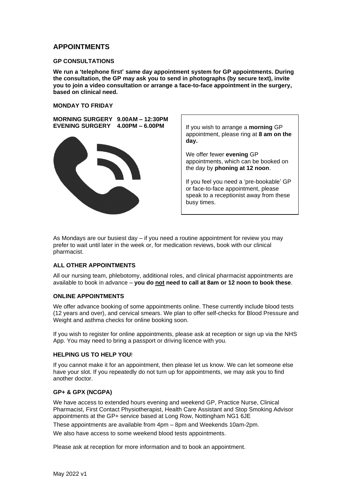#### **APPOINTMENTS**

#### **GP CONSULTATIONS**

**We run a 'telephone first' same day appointment system for GP appointments. During the consultation, the GP may ask you to send in photographs (by secure text), invite you to join a video consultation or arrange a face-to-face appointment in the surgery, based on clinical need.**

#### **MONDAY TO FRIDAY**

**MORNING SURGERY 9.00AM – 12:30PM EVENING SURGERY 4.00PM – 6.00PM**



If you wish to arrange a **morning** GP appointment, please ring at **8 am on the day.**

We offer fewer **evening** GP appointments, which can be booked on the day by **phoning at 12 noon**.

If you feel you need a 'pre-bookable' GP or face-to-face appointment, please speak to a receptionist away from these busy times.

As Mondays are our busiest day – if you need a routine appointment for review you may prefer to wait until later in the week or, for medication reviews, book with our clinical pharmacist.

#### **ALL OTHER APPOINTMENTS**

All our nursing team, phlebotomy, additional roles, and clinical pharmacist appointments are available to book in advance – **you do not need to call at 8am or 12 noon to book these**.

#### **ONLINE APPOINTMENTS**

We offer advance booking of some appointments online. These currently include blood tests (12 years and over), and cervical smears. We plan to offer self-checks for Blood Pressure and Weight and asthma checks for online booking soon.

If you wish to register for online appointments, please ask at reception or sign up via the NHS App. You may need to bring a passport or driving licence with you.

#### **HELPING US TO HELP YOU**!

If you cannot make it for an appointment, then please let us know. We can let someone else have your slot. If you repeatedly do not turn up for appointments, we may ask you to find another doctor.

#### **GP+ & GPX (NCGPA)**

We have access to extended hours evening and weekend GP, Practice Nurse, Clinical Pharmacist, First Contact Physiotherapist, Health Care Assistant and Stop Smoking Advisor appointments at the GP+ service based at Long Row, Nottingham NG1 6JE

These appointments are available from 4pm – 8pm and Weekends 10am-2pm. We also have access to some weekend blood tests appointments.

Please ask at reception for more information and to book an appointment.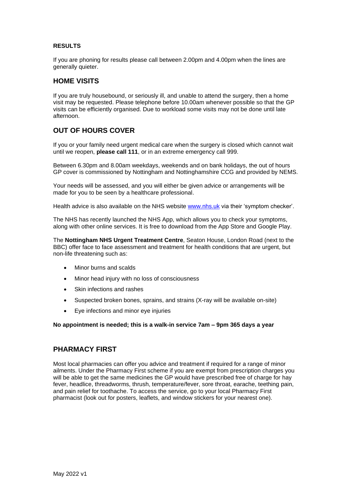#### **RESULTS**

If you are phoning for results please call between 2.00pm and 4.00pm when the lines are generally quieter.

#### **HOME VISITS**

If you are truly housebound, or seriously ill, and unable to attend the surgery, then a home visit may be requested. Please telephone before 10.00am whenever possible so that the GP visits can be efficiently organised. Due to workload some visits may not be done until late afternoon.

## **OUT OF HOURS COVER**

If you or your family need urgent medical care when the surgery is closed which cannot wait until we reopen, **please call 111**, or in an extreme emergency call 999.

Between 6.30pm and 8.00am weekdays, weekends and on bank holidays, the out of hours GP cover is commissioned by Nottingham and Nottinghamshire CCG and provided by NEMS.

Your needs will be assessed, and you will either be given advice or arrangements will be made for you to be seen by a healthcare professional.

Health advice is also available on the NHS website [www.nhs.uk](http://www.nhs.uk/) via their 'symptom checker'.

The NHS has recently launched the NHS App, which allows you to check your symptoms, along with other online services. It is free to download from the App Store and Google Play.

The **Nottingham NHS Urgent Treatment Centre**, Seaton House, London Road (next to the BBC) offer face to face assessment and treatment for health conditions that are urgent, but non-life threatening such as:

- Minor burns and scalds
- Minor head injury with no loss of consciousness
- Skin infections and rashes
- Suspected broken bones, sprains, and strains (X-ray will be available on-site)
- Eye infections and minor eye injuries

**No appointment is needed; this is a walk-in service 7am – 9pm 365 days a year**

#### **PHARMACY FIRST**

Most local pharmacies can offer you advice and treatment if required for a range of minor ailments. Under the Pharmacy First scheme if you are exempt from prescription charges you will be able to get the same medicines the GP would have prescribed free of charge for hay fever, headlice, threadworms, thrush, temperature/fever, sore throat, earache, teething pain, and pain relief for toothache. To access the service, go to your local Pharmacy First pharmacist (look out for posters, leaflets, and window stickers for your nearest one).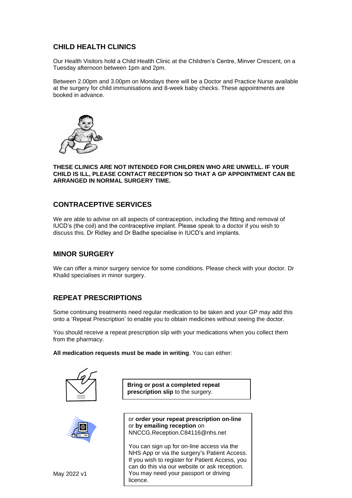# **CHILD HEALTH CLINICS**

Our Health Visitors hold a Child Health Clinic at the Children's Centre, Minver Crescent, on a Tuesday afternoon between 1pm and 2pm.

Between 2.00pm and 3.00pm on Mondays there will be a Doctor and Practice Nurse available at the surgery for child immunisations and 8-week baby checks. These appointments are booked in advance.



#### **THESE CLINICS ARE NOT INTENDED FOR CHILDREN WHO ARE UNWELL. IF YOUR CHILD IS ILL, PLEASE CONTACT RECEPTION SO THAT A GP APPOINTMENT CAN BE ARRANGED IN NORMAL SURGERY TIME.**

# **CONTRACEPTIVE SERVICES**

We are able to advise on all aspects of contraception, including the fitting and removal of IUCD's (the coil) and the contraceptive implant. Please speak to a doctor if you wish to discuss this. Dr Ridley and Dr Badhe specialise in IUCD's and implants.

## **MINOR SURGERY**

We can offer a minor surgery service for some conditions. Please check with your doctor. Dr Khalid specialises in minor surgery.

# **REPEAT PRESCRIPTIONS**

Some continuing treatments need regular medication to be taken and your GP may add this onto a 'Repeat Prescription' to enable you to obtain medicines without seeing the doctor.

You should receive a repeat prescription slip with your medications when you collect them from the pharmacy.

**All medication requests must be made in writing**. You can either:



**Bring or post a completed repeat prescription slip** to the surgery.



or **order your repeat prescription on-line** or **by emailing reception** on NNCCG.Reception.C84116@nhs.net

You can sign up for on-line access via the NHS App or via the surgery's Patient Access. If you wish to register for Patient Access, you can do this via our website or ask reception. You may need your passport or driving licence.

May 2022 v1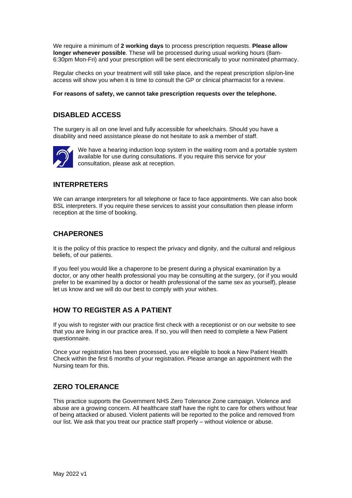We require a minimum of **2 working days** to process prescription requests. **Please allow longer whenever possible**. These will be processed during usual working hours (8am-6:30pm Mon-Fri) and your prescription will be sent electronically to your nominated pharmacy.

Regular checks on your treatment will still take place, and the repeat prescription slip/on-line access will show you when it is time to consult the GP or clinical pharmacist for a review.

#### **For reasons of safety, we cannot take prescription requests over the telephone.**

# **DISABLED ACCESS**

The surgery is all on one level and fully accessible for wheelchairs. Should you have a disability and need assistance please do not hesitate to ask a member of staff.



We have a hearing induction loop system in the waiting room and a portable system available for use during consultations. If you require this service for your consultation, please ask at reception.

## **INTERPRETERS**

We can arrange interpreters for all telephone or face to face appointments. We can also book BSL interpreters. If you require these services to assist your consultation then please inform reception at the time of booking.

## **CHAPERONES**

It is the policy of this practice to respect the privacy and dignity, and the cultural and religious beliefs, of our patients.

If you feel you would like a chaperone to be present during a physical examination by a doctor, or any other health professional you may be consulting at the surgery, (or if you would prefer to be examined by a doctor or health professional of the same sex as yourself), please let us know and we will do our best to comply with your wishes.

# **HOW TO REGISTER AS A PATIENT**

If you wish to register with our practice first check with a receptionist or on our website to see that you are living in our practice area. If so, you will then need to complete a New Patient questionnaire.

Once your registration has been processed, you are eligible to book a New Patient Health Check within the first 6 months of your registration. Please arrange an appointment with the Nursing team for this.

## **ZERO TOLERANCE**

This practice supports the Government NHS Zero Tolerance Zone campaign. Violence and abuse are a growing concern. All healthcare staff have the right to care for others without fear of being attacked or abused. Violent patients will be reported to the police and removed from our list. We ask that you treat our practice staff properly – without violence or abuse.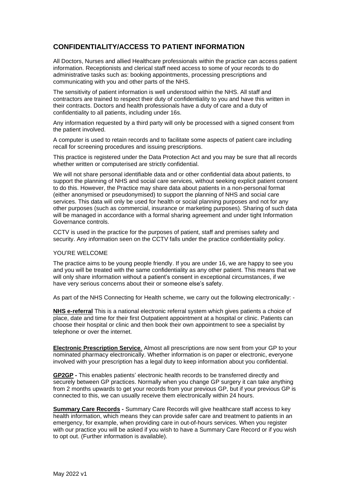# **CONFIDENTIALITY/ACCESS TO PATIENT INFORMATION**

All Doctors, Nurses and allied Healthcare professionals within the practice can access patient information. Receptionists and clerical staff need access to some of your records to do administrative tasks such as: booking appointments, processing prescriptions and communicating with you and other parts of the NHS.

The sensitivity of patient information is well understood within the NHS. All staff and contractors are trained to respect their duty of confidentiality to you and have this written in their contracts. Doctors and health professionals have a duty of care and a duty of confidentiality to all patients, including under 16s.

Any information requested by a third party will only be processed with a signed consent from the patient involved.

A computer is used to retain records and to facilitate some aspects of patient care including recall for screening procedures and issuing prescriptions.

This practice is registered under the Data Protection Act and you may be sure that all records whether written or computerised are strictly confidential.

We will not share personal identifiable data and or other confidential data about patients, to support the planning of NHS and social care services, without seeking explicit patient consent to do this. However, the Practice may share data about patients in a non-personal format (either anonymised or pseudonymised) to support the planning of NHS and social care services. This data will only be used for health or social planning purposes and not for any other purposes (such as commercial, insurance or marketing purposes). Sharing of such data will be managed in accordance with a formal sharing agreement and under tight Information Governance controls.

CCTV is used in the practice for the purposes of patient, staff and premises safety and security. Any information seen on the CCTV falls under the practice confidentiality policy.

#### YOU'RE WELCOME

The practice aims to be young people friendly. If you are under 16, we are happy to see you and you will be treated with the same confidentiality as any other patient. This means that we will only share information without a patient's consent in exceptional circumstances, if we have very serious concerns about their or someone else's safety.

As part of the NHS Connecting for Health scheme, we carry out the following electronically: -

**NHS e-referral** This is a national electronic referral system which gives patients a choice of place, date and time for their first Outpatient appointment at a hospital or clinic. Patients can choose their hospital or clinic and then book their own appointment to see a specialist by telephone or over the internet.

**Electronic Prescription Service**. Almost all prescriptions are now sent from your GP to your nominated pharmacy electronically. Whether information is on paper or electronic, everyone involved with your prescription has a legal duty to keep information about you confidential.

**GP2GP -** This enables patients' electronic health records to be transferred directly and securely between GP practices. Normally when you change GP surgery it can take anything from 2 months upwards to get your records from your previous GP, but if your previous GP is connected to this, we can usually receive them electronically within 24 hours.

**Summary Care Records -** Summary Care Records will give healthcare staff access to key health information, which means they can provide safer care and treatment to patients in an emergency, for example, when providing care in out-of-hours services. When you register with our practice you will be asked if you wish to have a Summary Care Record or if you wish to opt out. (Further information is available).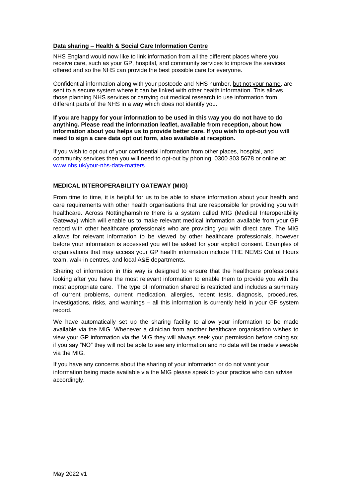#### **Data sharing – Health & Social Care Information Centre**

NHS England would now like to link information from all the different places where you receive care, such as your GP, hospital, and community services to improve the services offered and so the NHS can provide the best possible care for everyone.

Confidential information along with your postcode and NHS number, but not your name, are sent to a secure system where it can be linked with other health information. This allows those planning NHS services or carrying out medical research to use information from different parts of the NHS in a way which does not identify you.

#### **If you are happy for your information to be used in this way you do not have to do anything. Please read the information leaflet, available from reception, about how information about you helps us to provide better care. If you wish to opt-out you will need to sign a care data opt out form, also available at reception.**

If you wish to opt out of your confidential information from other places, hospital, and community services then you will need to opt-out by phoning: 0300 303 5678 or online at: [www.nhs.uk/your-nhs-data-matters](http://www.nhs.uk/your-nhs-data-matters)

#### **MEDICAL INTEROPERABILITY GATEWAY (MIG)**

From time to time, it is helpful for us to be able to share information about your health and care requirements with other health organisations that are responsible for providing you with healthcare. Across Nottinghamshire there is a system called MIG (Medical Interoperability Gateway) which will enable us to make relevant medical information available from your GP record with other healthcare professionals who are providing you with direct care. The MIG allows for relevant information to be viewed by other healthcare professionals, however before your information is accessed you will be asked for your explicit consent. Examples of organisations that may access your GP health information include THE NEMS Out of Hours team, walk-in centres, and local A&E departments.

Sharing of information in this way is designed to ensure that the healthcare professionals looking after you have the most relevant information to enable them to provide you with the most appropriate care. The type of information shared is restricted and includes a summary of current problems, current medication, allergies, recent tests, diagnosis, procedures, investigations, risks, and warnings – all this information is currently held in your GP system record.

We have automatically set up the sharing facility to allow your information to be made available via the MIG. Whenever a clinician from another healthcare organisation wishes to view your GP information via the MIG they will always seek your permission before doing so; if you say "NO" they will not be able to see any information and no data will be made viewable via the MIG.

If you have any concerns about the sharing of your information or do not want your information being made available via the MIG please speak to your practice who can advise accordingly.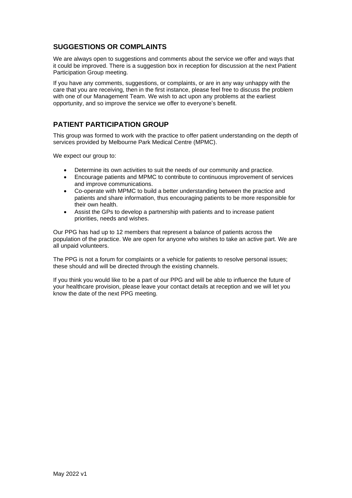# **SUGGESTIONS OR COMPLAINTS**

We are always open to suggestions and comments about the service we offer and ways that it could be improved. There is a suggestion box in reception for discussion at the next Patient Participation Group meeting.

If you have any comments, suggestions, or complaints, or are in any way unhappy with the care that you are receiving, then in the first instance, please feel free to discuss the problem with one of our Management Team. We wish to act upon any problems at the earliest opportunity, and so improve the service we offer to everyone's benefit.

# **PATIENT PARTICIPATION GROUP**

This group was formed to work with the practice to offer patient understanding on the depth of services provided by Melbourne Park Medical Centre (MPMC).

We expect our group to:

- Determine its own activities to suit the needs of our community and practice.
- Encourage patients and MPMC to contribute to continuous improvement of services and improve communications.
- Co-operate with MPMC to build a better understanding between the practice and patients and share information, thus encouraging patients to be more responsible for their own health.
- Assist the GPs to develop a partnership with patients and to increase patient priorities, needs and wishes.

Our PPG has had up to 12 members that represent a balance of patients across the population of the practice. We are open for anyone who wishes to take an active part. We are all unpaid volunteers.

The PPG is not a forum for complaints or a vehicle for patients to resolve personal issues; these should and will be directed through the existing channels.

If you think you would like to be a part of our PPG and will be able to influence the future of your healthcare provision, please leave your contact details at reception and we will let you know the date of the next PPG meeting.